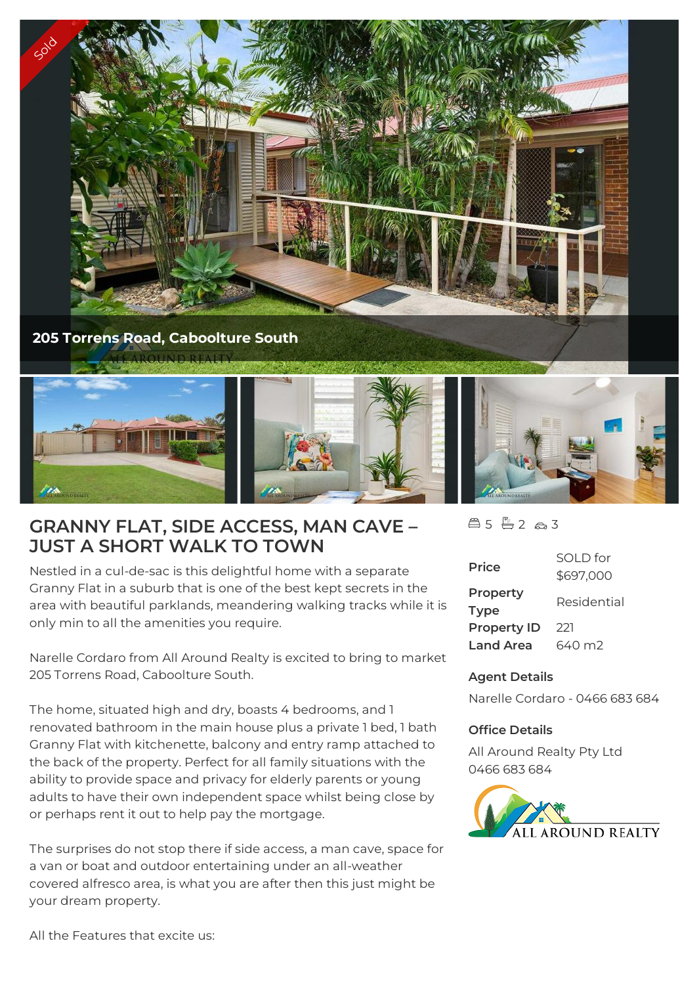



# **GRANNY FLAT, SIDE ACCESS, MAN CAVE – JUST A SHORT WALK TO TOWN**

Nestled in a cul-de-sac is this delightful home with a separate Granny Flat in a suburb that is one of the best kept secrets in the area with beautiful parklands, meandering walking tracks while it is only min to all the amenities you require.

Narelle Cordaro from All Around Realty is excited to bring to market 205 Torrens Road, Caboolture South.

The home, situated high and dry, boasts 4 bedrooms, and 1 renovated bathroom in the main house plus a private 1 bed, 1 bath Granny Flat with kitchenette, balcony and entry ramp attached to the back of the property. Perfect for all family situations with the ability to provide space and privacy for elderly parents or young adults to have their own independent space whilst being close by or perhaps rent it out to help pay the mortgage.

The surprises do not stop there if side access, a man cave, space for a van or boat and outdoor entertaining under an all-weather covered alfresco area, is what you are after then this just might be your dream property.

 $45 - 263$ 

| <b>Price</b>            | SOI D for<br>\$697,000 |
|-------------------------|------------------------|
| Property<br><b>Type</b> | Residential            |
| <b>Property ID</b>      | 221                    |
| <b>Land Area</b>        | 640 m2                 |

## **Agent Details**

Narelle Cordaro - 0466 683 684

## **Office Details**

All Around Realty Pty Ltd 0466 683 684

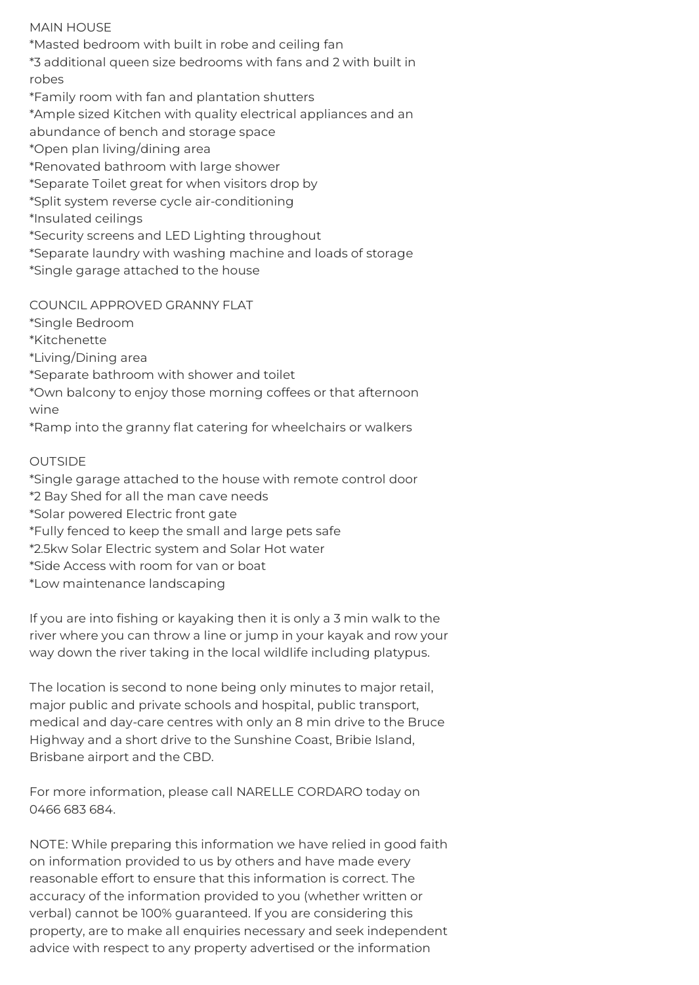## MAIN HOUSE

\*Masted bedroom with built in robe and ceiling fan \*3 additional queen size bedrooms with fans and 2 with built in robes \*Family room with fan and plantation shutters \*Ample sized Kitchen with quality electrical appliances and an abundance of bench and storage space \*Open plan living/dining area \*Renovated bathroom with large shower \*Separate Toilet great for when visitors drop by \*Split system reverse cycle air-conditioning \*Insulated ceilings \*Security screens and LED Lighting throughout \*Separate laundry with washing machine and loads of storage \*Single garage attached to the house

COUNCIL APPROVED GRANNY FLAT

\*Single Bedroom \*Kitchenette \*Living/Dining area \*Separate bathroom with shower and toilet \*Own balcony to enjoy those morning coffees or that afternoon wine \*Ramp into the granny flat catering for wheelchairs or walkers

## OUTSIDE

\*Single garage attached to the house with remote control door \*2 Bay Shed for all the man cave needs \*Solar powered Electric front gate \*Fully fenced to keep the small and large pets safe \*2.5kw Solar Electric system and Solar Hot water \*Side Access with room for van or boat \*Low maintenance landscaping

If you are into fishing or kayaking then it is only a 3 min walk to the river where you can throw a line or jump in your kayak and row your way down the river taking in the local wildlife including platypus.

The location is second to none being only minutes to major retail, major public and private schools and hospital, public transport, medical and day-care centres with only an 8 min drive to the Bruce Highway and a short drive to the Sunshine Coast, Bribie Island, Brisbane airport and the CBD.

For more information, please call NARELLE CORDARO today on 0466 683 684.

NOTE: While preparing this information we have relied in good faith on information provided to us by others and have made every reasonable effort to ensure that this information is correct. The accuracy of the information provided to you (whether written or verbal) cannot be 100% guaranteed. If you are considering this property, are to make all enquiries necessary and seek independent advice with respect to any property advertised or the information